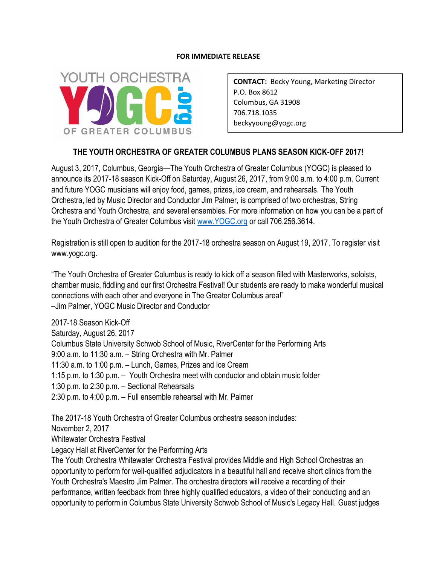## **FOR IMMEDIATE RELEASE**



**CONTACT:** Becky Young, Marketing Director P.O. Box 8612 Columbus, GA 31908 706.718.1035 beckyyoung@yogc.org

## **THE YOUTH ORCHESTRA OF GREATER COLUMBUS PLANS SEASON KICK-OFF 2017!**

August 3, 2017, Columbus, Georgia—The Youth Orchestra of Greater Columbus (YOGC) is pleased to announce its 2017-18 season Kick-Off on Saturday, August 26, 2017, from 9:00 a.m. to 4:00 p.m. Current and future YOGC musicians will enjoy food, games, prizes, ice cream, and rehearsals. The Youth Orchestra, led by Music Director and Conductor Jim Palmer, is comprised of two orchestras, String Orchestra and Youth Orchestra, and several ensembles. For more information on how you can be a part of the Youth Orchestra of Greater Columbus visit [www.YOGC.org](http://www.yogc.org/) or call 706.256.3614.

Registration is still open to audition for the 2017-18 orchestra season on August 19, 2017. To register visit www.yogc.org.

"The Youth Orchestra of Greater Columbus is ready to kick off a season filled with Masterworks, soloists, chamber music, fiddling and our first Orchestra Festival! Our students are ready to make wonderful musical connections with each other and everyone in The Greater Columbus area!" –Jim Palmer, YOGC Music Director and Conductor

2017-18 Season Kick-Off Saturday, August 26, 2017 Columbus State University Schwob School of Music, RiverCenter for the Performing Arts 9:00 a.m. to 11:30 a.m. – String Orchestra with Mr. Palmer 11:30 a.m. to 1:00 p.m. – Lunch, Games, Prizes and Ice Cream 1:15 p.m. to 1:30 p.m. – Youth Orchestra meet with conductor and obtain music folder 1:30 p.m. to 2:30 p.m. – Sectional Rehearsals 2:30 p.m. to 4:00 p.m. – Full ensemble rehearsal with Mr. Palmer

The 2017-18 Youth Orchestra of Greater Columbus orchestra season includes:

November 2, 2017

Whitewater Orchestra Festival

Legacy Hall at RiverCenter for the Performing Arts

The Youth Orchestra Whitewater Orchestra Festival provides Middle and High School Orchestras an opportunity to perform for well-qualified adjudicators in a beautiful hall and receive short clinics from the Youth Orchestra's Maestro Jim Palmer. The orchestra directors will receive a recording of their performance, written feedback from three highly qualified educators, a video of their conducting and an opportunity to perform in Columbus State University Schwob School of Music's Legacy Hall. Guest judges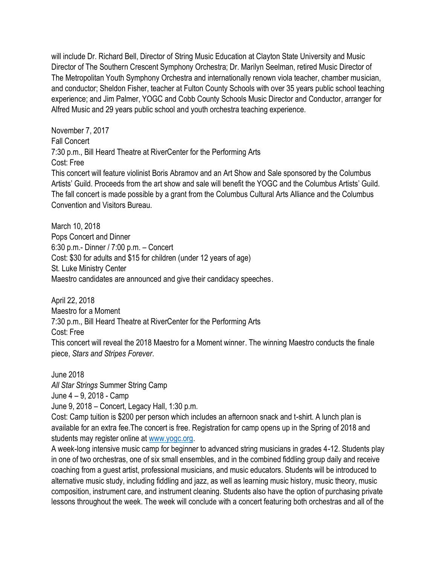will include Dr. Richard Bell, Director of String Music Education at Clayton State University and Music Director of The Southern Crescent Symphony Orchestra; Dr. Marilyn Seelman, retired Music Director of The Metropolitan Youth Symphony Orchestra and internationally renown viola teacher, chamber musician, and conductor; Sheldon Fisher, teacher at Fulton County Schools with over 35 years public school teaching experience; and Jim Palmer, YOGC and Cobb County Schools Music Director and Conductor, arranger for Alfred Music and 29 years public school and youth orchestra teaching experience.

November 7, 2017 Fall Concert 7:30 p.m., Bill Heard Theatre at RiverCenter for the Performing Arts Cost: Free This concert will feature violinist Boris Abramov and an Art Show and Sale sponsored by the Columbus Artists' Guild. Proceeds from the art show and sale will benefit the YOGC and the Columbus Artists' Guild. The fall concert is made possible by a grant from the Columbus Cultural Arts Alliance and the Columbus Convention and Visitors Bureau.

March 10, 2018 Pops Concert and Dinner 6:30 p.m.- Dinner / 7:00 p.m. – Concert Cost: \$30 for adults and \$15 for children (under 12 years of age) St. Luke Ministry Center Maestro candidates are announced and give their candidacy speeches.

April 22, 2018 Maestro for a Moment 7:30 p.m., Bill Heard Theatre at RiverCenter for the Performing Arts Cost: Free This concert will reveal the 2018 Maestro for a Moment winner. The winning Maestro conducts the finale piece, *Stars and Stripes Forever*.

June 2018

*All Star Strings* Summer String Camp

June 4 – 9, 2018 - Camp

June 9, 2018 – Concert, Legacy Hall, 1:30 p.m.

Cost: Camp tuition is \$200 per person which includes an afternoon snack and t-shirt. A lunch plan is available for an extra fee.The concert is free. Registration for camp opens up in the Spring of 2018 and students may register online at [www.yogc.org.](http://www.yogc.org/)

A week-long intensive music camp for beginner to advanced string musicians in grades 4-12. Students play in one of two orchestras, one of six small ensembles, and in the combined fiddling group daily and receive coaching from a guest artist, professional musicians, and music educators. Students will be introduced to alternative music study, including fiddling and jazz, as well as learning music history, music theory, music composition, instrument care, and instrument cleaning. Students also have the option of purchasing private lessons throughout the week. The week will conclude with a concert featuring both orchestras and all of the